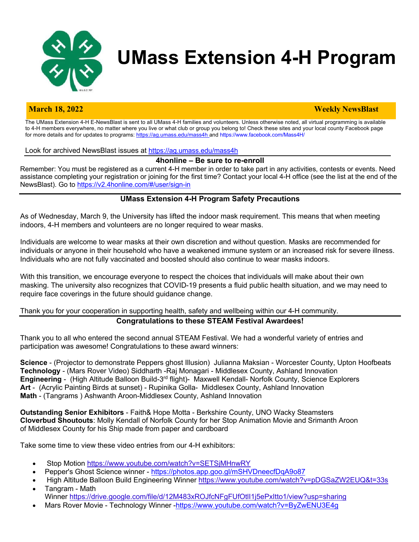

# **UMass Extension 4-H Program**

#### **March 18, 2022 Weekly NewsBlast**

The UMass Extension 4-H E-NewsBlast is sent to all UMass 4-H families and volunteers. Unless otherwise noted, all virtual programming is available to 4-H members everywhere, no matter where you live or what club or group you belong to! Check these sites and your local county Facebook page for more details and for updates to programs: https://ag.umass.edu/mass4h and https://www.facebook.com/Mass4H/

Look for archived NewsBlast issues at https://ag.umass.edu/mass4h

#### **4honline – Be sure to re-enroll**

Remember: You must be registered as a current 4-H member in order to take part in any activities, contests or events. Need assistance completing your registration or joining for the first time? Contact your local 4-H office (see the list at the end of the NewsBlast). Go to https://v2.4honline.com/#/user/sign-in

#### **UMass Extension 4-H Program Safety Precautions**

As of Wednesday, March 9, the University has lifted the indoor mask requirement. This means that when meeting indoors, 4-H members and volunteers are no longer required to wear masks.

Individuals are welcome to wear masks at their own discretion and without question. Masks are recommended for individuals or anyone in their household who have a weakened immune system or an increased risk for severe illness. Individuals who are not fully vaccinated and boosted should also continue to wear masks indoors.

With this transition, we encourage everyone to respect the choices that individuals will make about their own masking. The university also recognizes that COVID-19 presents a fluid public health situation, and we may need to require face coverings in the future should guidance change.

### Thank you for your cooperation in supporting health, safety and wellbeing within our 4-H community.

#### **Congratulations to these STEAM Festival Awardees!**

Thank you to all who entered the second annual STEAM Festival. We had a wonderful variety of entries and participation was awesome! Congratulations to these award winners:

**Science** - (Projector to demonstrate Peppers ghost Illusion) Julianna Maksian - Worcester County, Upton Hoofbeats **Technology** - (Mars Rover Video) Siddharth -Raj Monagari - Middlesex County, Ashland Innovation **Engineering** - (High Altitude Balloon Build-3rd flight)- Maxwell Kendall- Norfolk County, Science Explorers **Art** - (Acrylic Painting Birds at sunset) - Rupinika Golla- Middlesex County, Ashland Innovation **Math** - (Tangrams ) Ashwanth Aroon-Middlesex County, Ashland Innovation

**Outstanding Senior Exhibitors** - Faith& Hope Motta - Berkshire County, UNO Wacky Steamsters **Cloverbud Shoutouts**: Molly Kendall of Norfolk County for her Stop Animation Movie and Srimanth Aroon of Middlesex County for his Ship made from paper and cardboard

Take some time to view these video entries from our 4-H exhibitors:

- Stop Motion https://www.youtube.com/watch?v=SETSjMHnwRY
- Pepper's Ghost Science winner https://photos.app.goo.gl/mSHVDneecfDqA9o87
- High Altitude Balloon Build Engineering Winner https://www.youtube.com/watch?v=pDGSaZW2EUQ&t=33s
- Tangram Math Winner https://drive.google.com/file/d/12M483xROJfcNFgFUfOtlI1j5ePxItto1/view?usp=sharing
- Mars Rover Movie Technology Winner -https://www.youtube.com/watch?v=ByZwENU3E4g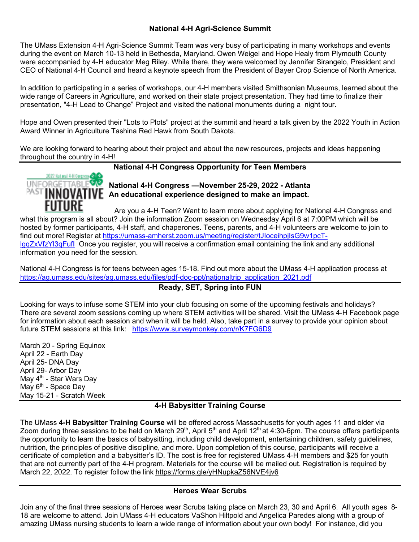### **National 4-H Agri-Science Summit**

The UMass Extension 4-H Agri-Science Summit Team was very busy of participating in many workshops and events during the event on March 10-13 held in Bethesda, Maryland. Owen Weigel and Hope Healy from Plymouth County were accompanied by 4-H educator Meg Riley. While there, they were welcomed by Jennifer Sirangelo, President and CEO of National 4-H Council and heard a keynote speech from the President of Bayer Crop Science of North America.

In addition to participating in a series of workshops, our 4-H members visited Smithsonian Museums, learned about the wide range of Careers in Agriculture, and worked on their state project presentation. They had time to finalize their presentation, "4-H Lead to Change" Project and visited the national monuments during a night tour.

Hope and Owen presented their "Lots to Plots" project at the summit and heard a talk given by the 2022 Youth in Action Award Winner in Agriculture Tashina Red Hawk from South Dakota.

We are looking forward to hearing about their project and about the new resources, projects and ideas happening throughout the country in 4-H!

**National 4-H Congress Opportunity for Teen Members**



**National 4-H Congress —November 25-29, 2022 - Atlanta** PAST **INNOVATIVE** An educational experience designed to make an impact.

Are you a 4-H Teen? Want to learn more about applying for National 4-H Congress and what this program is all about? Join the information Zoom session on Wednesday April 6 at 7:00PM which will be hosted by former participants, 4-H staff, and chaperones. Teens, parents, and 4-H volunteers are welcome to join to find out more! Register at https://umass-amherst.zoom.us/meeting/register/tJloceihpjIsG9w1pcTlgqZxVfzYl3qFufI Once you register, you will receive a confirmation email containing the link and any additional information you need for the session.

National 4-H Congress is for teens between ages 15-18. Find out more about the UMass 4-H application process at https://ag.umass.edu/sites/ag.umass.edu/files/pdf-doc-ppt/nationaltrip\_application\_2021.pdf

# **Ready, SET, Spring into FUN**

Looking for ways to infuse some STEM into your club focusing on some of the upcoming festivals and holidays? There are several zoom sessions coming up where STEM activities will be shared. Visit the UMass 4-H Facebook page for information about each session and when it will be held. Also, take part in a survey to provide your opinion about future STEM sessions at this link: https://www.surveymonkey.com/r/K7FG6D9

March 20 - Spring Equinox April 22 - Earth Day April 25- DNA Day April 29- Arbor Day May 4<sup>th</sup> - Star Wars Day May 6<sup>th</sup> - Space Day May 15-21 - Scratch Week

### **4-H Babysitter Training Course**

The UMass **4-H Babysitter Training Course** will be offered across Massachusetts for youth ages 11 and older via Zoom during three sessions to be held on March 29<sup>th</sup>, April 5<sup>th</sup> and April 12<sup>th</sup> at 4:30-6pm. The course offers participants the opportunity to learn the basics of babysitting, including child development, entertaining children, safety guidelines, nutrition, the principles of positive discipline, and more. Upon completion of this course, participants will receive a certificate of completion and a babysitter's ID. The cost is free for registered UMass 4-H members and \$25 for youth that are not currently part of the 4-H program. Materials for the course will be mailed out. Registration is required by March 22, 2022. To register follow the link https://forms.gle/yHNupkaZ56NVE4jv6

# **Heroes Wear Scrubs**

Join any of the final three sessions of Heroes wear Scrubs taking place on March 23, 30 and April 6. All youth ages 8- 18 are welcome to attend. Join UMass 4-H educators VaShon Hiltpold and Angelica Paredes along with a group of amazing UMass nursing students to learn a wide range of information about your own body! For instance, did you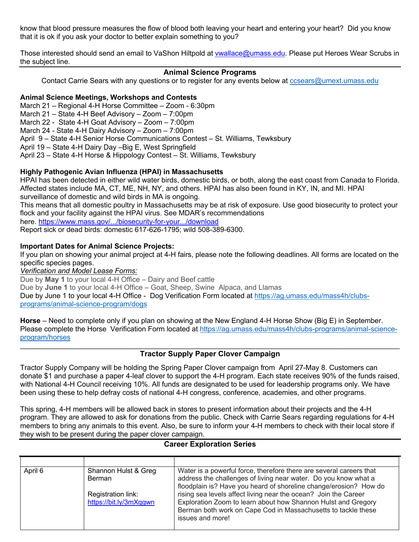know that blood pressure measures the flow of blood both leaving your heart and entering your heart? Did you know that it is ok if you ask your doctor to better explain something to you?

Those interested should send an email to VaShon Hiltpold at vwallace@umass.edu. Please put Heroes Wear Scrubs in the subject line.

# **Animal Science Programs**

Contact Carrie Sears with any questions or to register for any events below at ccsears@umext.umass.edu

#### **Animal Science Meetings, Workshops and Contests**

March 21 – Regional 4-H Horse Committee – Zoom - 6:30pm

March 21 – State 4-H Beef Advisory – Zoom – 7:00pm

March 22 - State 4-H Goat Advisory – Zoom – 7:00pm

March 24 - State 4-H Dairy Advisory – Zoom – 7:00pm

April 9 – State 4-H Senior Horse Communications Contest – St. Williams, Tewksbury

April 19 – State 4-H Dairy Day –Big E, West Springfield

April 23 – State 4-H Horse & Hippology Contest – St. Williams, Tewksbury

#### **Highly Pathogenic Avian Influenza (HPAI) in Massachusetts**

HPAI has been detected in either wild water birds, domestic birds, or both, along the east coast from Canada to Florida. Affected states include MA, CT, ME, NH, NY, and others. HPAI has also been found in KY, IN, and MI. HPAI surveillance of domestic and wild birds in MA is ongoing.

This means that all domestic poultry in Massachusetts may be at risk of exposure. Use good biosecurity to protect your flock and your facility against the HPAI virus. See MDAR's recommendations

here. https://www.mass.gov/.../biosecurity-for-your.../download

Report sick or dead birds: domestic 617-626-1795; wild 508-389-6300.

#### **Important Dates for Animal Science Projects:**

If you plan on showing your animal project at 4-H fairs, please note the following deadlines. All forms are located on the specific species pages.

*Verification and Model Lease Forms:*

Due by **May 1** to your local 4-H Office – Dairy and Beef cattle

Due by **June 1** to your local 4-H Office – Goat, Sheep, Swine Alpaca, and Llamas

Due by June 1 to your local 4-H Office - Dog Verification Form located at https://ag.umass.edu/mass4h/clubsprograms/animal-science-program/dogs

**Horse** – Need to complete only if you plan on showing at the New England 4-H Horse Show (Big E) in September. Please complete the Horse Verification Form located at https://ag.umass.edu/mass4h/clubs-programs/animal-scienceprogram/horses

### **Tractor Supply Paper Clover Campaign**

Tractor Supply Company will be holding the Spring Paper Clover campaign from April 27-May 8. Customers can donate \$1 and purchase a paper 4-leaf clover to support the 4-H program. Each state receives 90% of the funds raised, with National 4-H Council receiving 10%. All funds are designated to be used for leadership programs only. We have been using these to help defray costs of national 4-H congress, conference, academies, and other programs.

This spring, 4-H members will be allowed back in stores to present information about their projects and the 4-H program. They are allowed to ask for donations from the public. Check with Carrie Sears regarding regulations for 4-H members to bring any animals to this event. Also, be sure to inform your 4-H members to check with their local store if they wish to be present during the paper clover campaign.

### **Career Exploration Series**

| April 6 | Shannon Hulst & Greg   | Water is a powerful force, therefore there are several careers that |
|---------|------------------------|---------------------------------------------------------------------|
|         | <b>Berman</b>          | address the challenges of living near water. Do you know what a     |
|         |                        | floodplain is? Have you heard of shoreline change/erosion? How do   |
|         | Registration link:     | rising sea levels affect living near the ocean? Join the Career     |
|         | https://bit.ly/3mXqgwn | Exploration Zoom to learn about how Shannon Hulst and Gregory       |
|         |                        | Berman both work on Cape Cod in Massachusetts to tackle these       |
|         |                        | issues and more!                                                    |
|         |                        |                                                                     |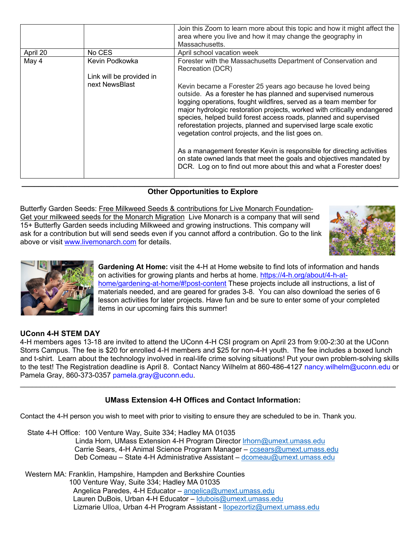|          |                          | Join this Zoom to learn more about this topic and how it might affect the<br>area where you live and how it may change the geography in<br>Massachusetts.                                                                                                                                                                                                                                                                                                                     |
|----------|--------------------------|-------------------------------------------------------------------------------------------------------------------------------------------------------------------------------------------------------------------------------------------------------------------------------------------------------------------------------------------------------------------------------------------------------------------------------------------------------------------------------|
| April 20 | No CES                   | April school vacation week                                                                                                                                                                                                                                                                                                                                                                                                                                                    |
| May 4    | Kevin Podkowka           | Forester with the Massachusetts Department of Conservation and<br>Recreation (DCR)                                                                                                                                                                                                                                                                                                                                                                                            |
|          | Link will be provided in |                                                                                                                                                                                                                                                                                                                                                                                                                                                                               |
|          | next NewsBlast           | Kevin became a Forester 25 years ago because he loved being<br>outside. As a forester he has planned and supervised numerous<br>logging operations, fought wildfires, served as a team member for<br>major hydrologic restoration projects, worked with critically endangered<br>species, helped build forest access roads, planned and supervised<br>reforestation projects, planned and supervised large scale exotic<br>vegetation control projects, and the list goes on. |
|          |                          | As a management forester Kevin is responsible for directing activities<br>on state owned lands that meet the goals and objectives mandated by<br>DCR. Log on to find out more about this and what a Forester does!                                                                                                                                                                                                                                                            |

### **Other Opportunities to Explore**

**\_\_\_\_\_\_\_\_\_\_\_\_\_\_\_\_\_\_\_\_\_\_\_\_\_\_\_\_\_\_\_\_\_\_\_\_\_\_\_\_\_\_\_\_\_\_\_\_\_\_\_\_\_\_\_\_\_\_\_\_\_\_\_\_\_\_\_\_\_\_\_\_\_\_\_\_\_\_\_\_\_\_\_\_\_\_\_\_\_\_**

Butterfly Garden Seeds: Free Milkweed Seeds & contributions for Live Monarch Foundation-Get your milkweed seeds for the Monarch Migration Live Monarch is a company that will send 15+ Butterfly Garden seeds including Milkweed and growing instructions. This company will ask for a contribution but will send seeds even if you cannot afford a contribution. Go to the link above or visit www.livemonarch.com for details.





**Gardening At Home:** visit the 4-H at Home website to find lots of information and hands on activities for growing plants and herbs at home. https://4-h.org/about/4-h-athome/gardening-at-home/#!post-content These projects include all instructions, a list of materials needed, and are geared for grades 3-8. You can also download the series of 6 lesson activities for later projects. Have fun and be sure to enter some of your completed items in our upcoming fairs this summer!

### **UConn 4-H STEM DAY**

4-H members ages 13-18 are invited to attend the UConn 4-H CSI program on April 23 from 9:00-2:30 at the UConn Storrs Campus. The fee is \$20 for enrolled 4-H members and \$25 for non-4-H youth. The fee includes a boxed lunch and t-shirt. Learn about the technology involved in real-life crime solving situations! Put your own problem-solving skills to the test! The Registration deadline is April 8. Contact Nancy Wilhelm at 860-486-4127 nancy.wilhelm@uconn.edu or Pamela Gray, 860-373-0357 pamela.gray@uconn.edu.

\_\_\_\_\_\_\_\_\_\_\_\_\_\_\_\_\_\_\_\_\_\_\_\_\_\_\_\_\_\_\_\_\_\_\_\_\_\_\_\_\_\_\_\_\_\_\_\_\_\_\_\_\_\_\_\_\_\_\_\_\_\_\_\_\_\_\_\_\_\_\_\_\_\_\_\_\_\_\_\_\_\_\_\_\_\_\_\_\_\_\_\_\_\_

# **UMass Extension 4-H Offices and Contact Information:**

Contact the 4-H person you wish to meet with prior to visiting to ensure they are scheduled to be in. Thank you.

State 4-H Office: 100 Venture Way, Suite 334; Hadley MA 01035 Linda Horn, UMass Extension 4-H Program Director lrhorn@umext.umass.edu Carrie Sears, 4-H Animal Science Program Manager – ccsears@umext.umass.edu Deb Comeau – State 4-H Administrative Assistant – dcomeau@umext.umass.edu

Western MA: Franklin, Hampshire, Hampden and Berkshire Counties 100 Venture Way, Suite 334; Hadley MA 01035 Angelica Paredes, 4-H Educator – angelica@umext.umass.edu Lauren DuBois, Urban 4-H Educator - Idubois@umext.umass.edu Lizmarie Ulloa, Urban 4-H Program Assistant - llopezortiz@umext.umass.edu